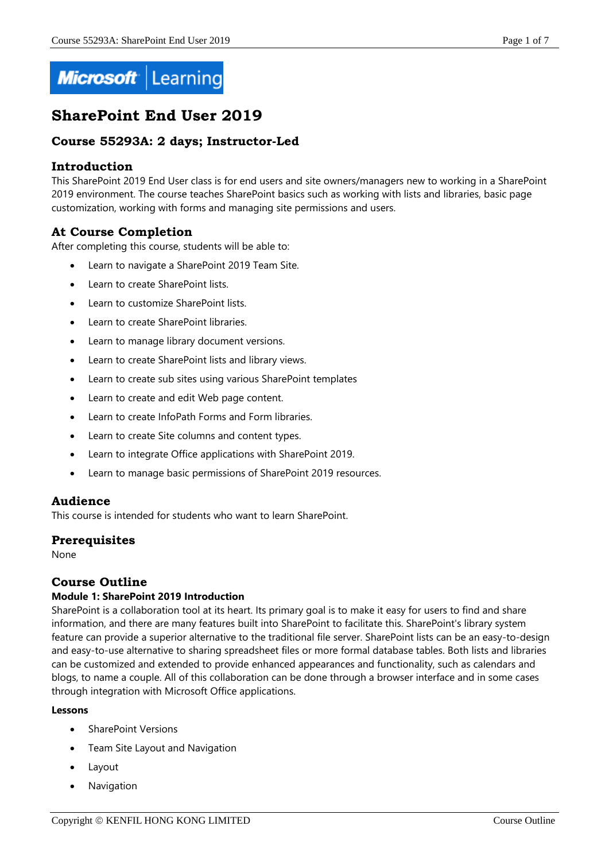

# **SharePoint End User 2019**

# **Course 55293A: 2 days; Instructor-Led**

## **Introduction**

This SharePoint 2019 End User class is for end users and site owners/managers new to working in a SharePoint 2019 environment. The course teaches SharePoint basics such as working with lists and libraries, basic page customization, working with forms and managing site permissions and users.

# **At Course Completion**

After completing this course, students will be able to:

- Learn to navigate a SharePoint 2019 Team Site.
- Learn to create SharePoint lists.
- Learn to customize SharePoint lists.
- Learn to create SharePoint libraries.
- Learn to manage library document versions.
- Learn to create SharePoint lists and library views.
- Learn to create sub sites using various SharePoint templates
- Learn to create and edit Web page content.
- Learn to create InfoPath Forms and Form libraries.
- Learn to create Site columns and content types.
- Learn to integrate Office applications with SharePoint 2019.
- Learn to manage basic permissions of SharePoint 2019 resources.

# **Audience**

This course is intended for students who want to learn SharePoint.

#### **Prerequisites**

None

# **Course Outline**

#### **Module 1: SharePoint 2019 Introduction**

SharePoint is a collaboration tool at its heart. Its primary goal is to make it easy for users to find and share information, and there are many features built into SharePoint to facilitate this. SharePoint's library system feature can provide a superior alternative to the traditional file server. SharePoint lists can be an easy-to-design and easy-to-use alternative to sharing spreadsheet files or more formal database tables. Both lists and libraries can be customized and extended to provide enhanced appearances and functionality, such as calendars and blogs, to name a couple. All of this collaboration can be done through a browser interface and in some cases through integration with Microsoft Office applications.

- SharePoint Versions
- Team Site Layout and Navigation
- Layout
- Navigation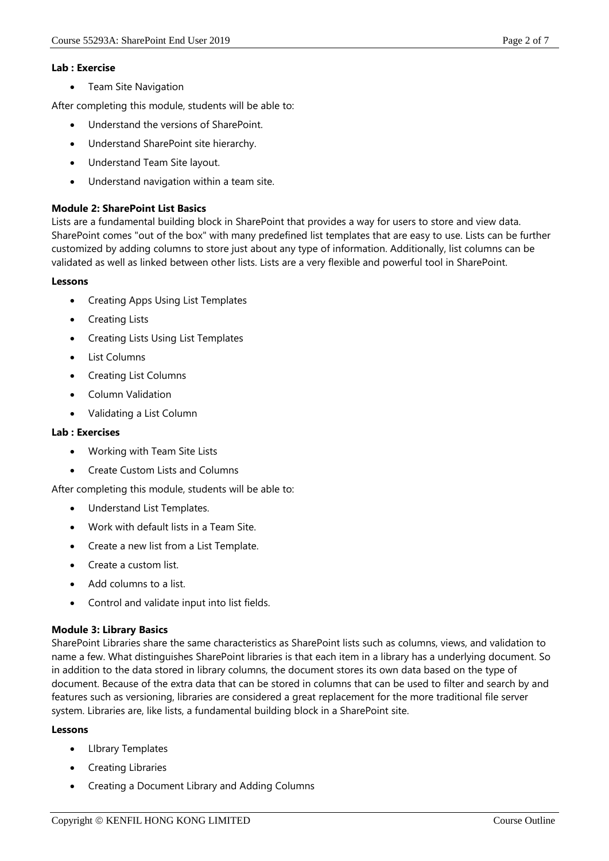#### **Lab : Exercise**

• Team Site Navigation

After completing this module, students will be able to:

- Understand the versions of SharePoint.
- Understand SharePoint site hierarchy.
- Understand Team Site layout.
- Understand navigation within a team site.

#### **Module 2: SharePoint List Basics**

Lists are a fundamental building block in SharePoint that provides a way for users to store and view data. SharePoint comes "out of the box" with many predefined list templates that are easy to use. Lists can be further customized by adding columns to store just about any type of information. Additionally, list columns can be validated as well as linked between other lists. Lists are a very flexible and powerful tool in SharePoint.

#### **Lessons**

- Creating Apps Using List Templates
- Creating Lists
- Creating Lists Using List Templates
- List Columns
- Creating List Columns
- Column Validation
- Validating a List Column

#### **Lab : Exercises**

- Working with Team Site Lists
- Create Custom Lists and Columns

After completing this module, students will be able to:

- Understand List Templates.
- Work with default lists in a Team Site.
- Create a new list from a List Template.
- Create a custom list.
- Add columns to a list.
- Control and validate input into list fields.

#### **Module 3: Library Basics**

SharePoint Libraries share the same characteristics as SharePoint lists such as columns, views, and validation to name a few. What distinguishes SharePoint libraries is that each item in a library has a underlying document. So in addition to the data stored in library columns, the document stores its own data based on the type of document. Because of the extra data that can be stored in columns that can be used to filter and search by and features such as versioning, libraries are considered a great replacement for the more traditional file server system. Libraries are, like lists, a fundamental building block in a SharePoint site.

- LIbrary Templates
- Creating Libraries
- Creating a Document Library and Adding Columns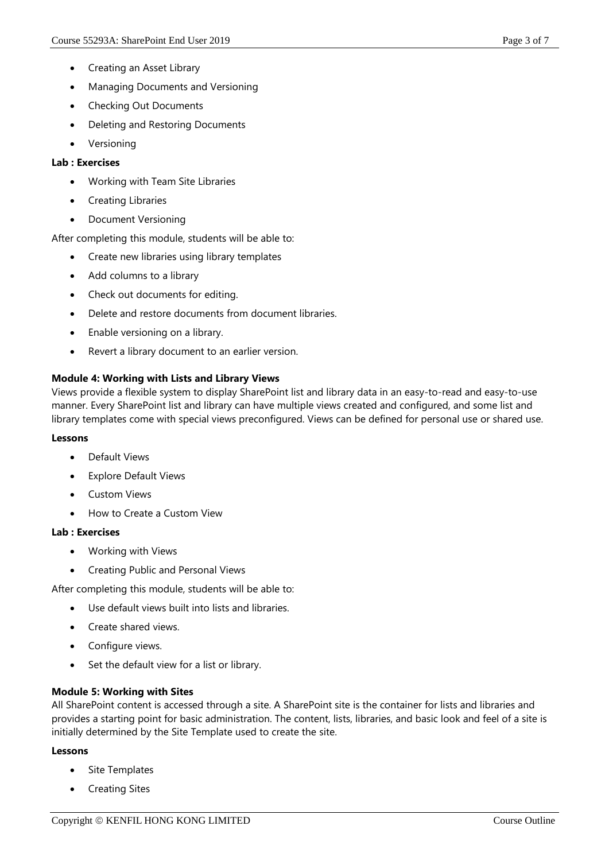- Creating an Asset Library
- Managing Documents and Versioning
- Checking Out Documents
- Deleting and Restoring Documents
- Versioning

## **Lab : Exercises**

- Working with Team Site Libraries
- Creating Libraries
- Document Versioning

After completing this module, students will be able to:

- Create new libraries using library templates
- Add columns to a library
- Check out documents for editing.
- Delete and restore documents from document libraries.
- Enable versioning on a library.
- Revert a library document to an earlier version.

# **Module 4: Working with Lists and Library Views**

Views provide a flexible system to display SharePoint list and library data in an easy-to-read and easy-to-use manner. Every SharePoint list and library can have multiple views created and configured, and some list and library templates come with special views preconfigured. Views can be defined for personal use or shared use.

#### **Lessons**

- Default Views
- Explore Default Views
- Custom Views
- How to Create a Custom View

# **Lab : Exercises**

- Working with Views
- Creating Public and Personal Views

After completing this module, students will be able to:

- Use default views built into lists and libraries.
- Create shared views.
- Configure views.
- Set the default view for a list or library.

# **Module 5: Working with Sites**

All SharePoint content is accessed through a site. A SharePoint site is the container for lists and libraries and provides a starting point for basic administration. The content, lists, libraries, and basic look and feel of a site is initially determined by the Site Template used to create the site.

- Site Templates
- Creating Sites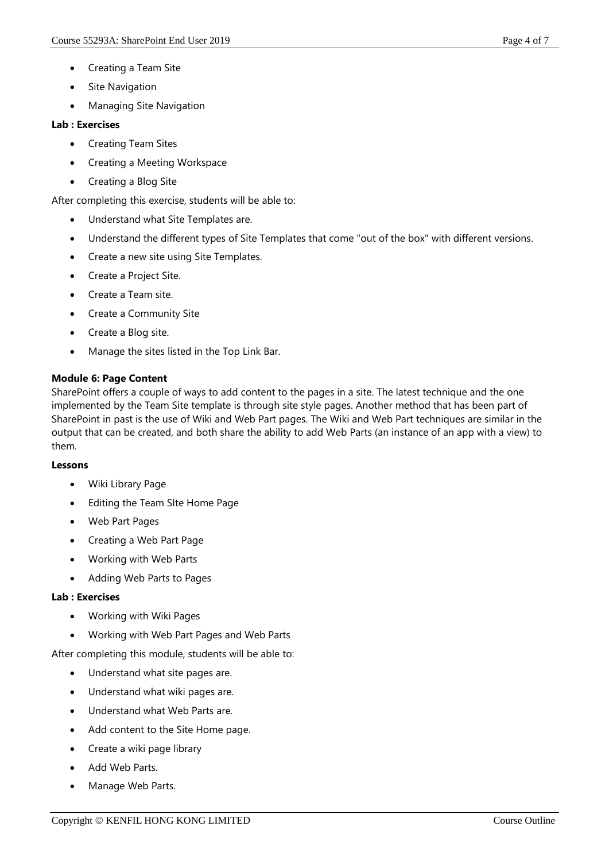- Creating a Team Site
- Site Navigation
- Managing Site Navigation

#### **Lab : Exercises**

- Creating Team Sites
- Creating a Meeting Workspace
- Creating a Blog Site

After completing this exercise, students will be able to:

- Understand what Site Templates are.
- Understand the different types of Site Templates that come "out of the box" with different versions.
- Create a new site using Site Templates.
- Create a Project Site.
- Create a Team site.
- Create a Community Site
- Create a Blog site.
- Manage the sites listed in the Top Link Bar.

#### **Module 6: Page Content**

SharePoint offers a couple of ways to add content to the pages in a site. The latest technique and the one implemented by the Team Site template is through site style pages. Another method that has been part of SharePoint in past is the use of Wiki and Web Part pages. The Wiki and Web Part techniques are similar in the output that can be created, and both share the ability to add Web Parts (an instance of an app with a view) to them.

#### **Lessons**

- Wiki Library Page
- Editing the Team SIte Home Page
- Web Part Pages
- Creating a Web Part Page
- Working with Web Parts
- Adding Web Parts to Pages

#### **Lab : Exercises**

- Working with Wiki Pages
- Working with Web Part Pages and Web Parts

After completing this module, students will be able to:

- Understand what site pages are.
- Understand what wiki pages are.
- Understand what Web Parts are.
- Add content to the Site Home page.
- Create a wiki page library
- Add Web Parts.
- Manage Web Parts.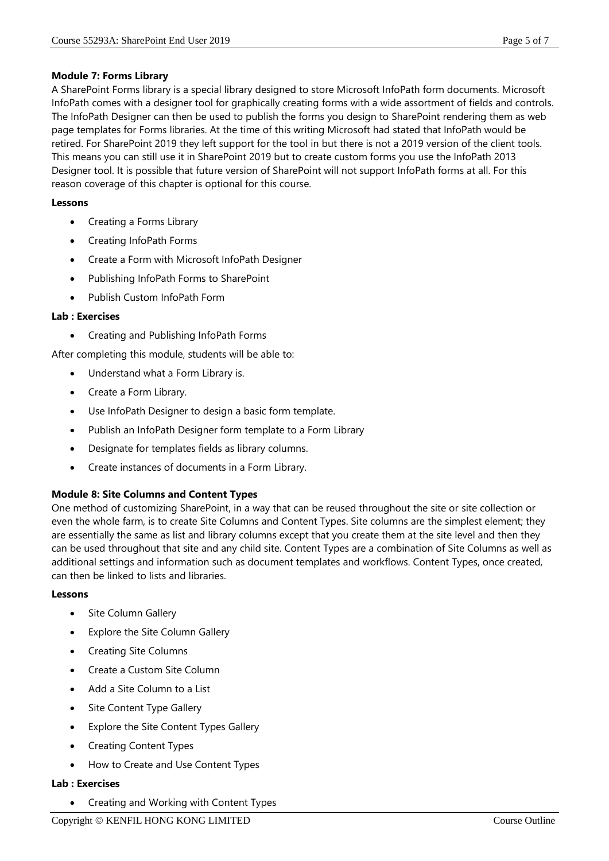## **Module 7: Forms Library**

A SharePoint Forms library is a special library designed to store Microsoft InfoPath form documents. Microsoft InfoPath comes with a designer tool for graphically creating forms with a wide assortment of fields and controls. The InfoPath Designer can then be used to publish the forms you design to SharePoint rendering them as web page templates for Forms libraries. At the time of this writing Microsoft had stated that InfoPath would be retired. For SharePoint 2019 they left support for the tool in but there is not a 2019 version of the client tools. This means you can still use it in SharePoint 2019 but to create custom forms you use the InfoPath 2013 Designer tool. It is possible that future version of SharePoint will not support InfoPath forms at all. For this reason coverage of this chapter is optional for this course.

## **Lessons**

- Creating a Forms Library
- Creating InfoPath Forms
- Create a Form with Microsoft InfoPath Designer
- Publishing InfoPath Forms to SharePoint
- Publish Custom InfoPath Form

## **Lab : Exercises**

Creating and Publishing InfoPath Forms

After completing this module, students will be able to:

- Understand what a Form Library is.
- Create a Form Library.
- Use InfoPath Designer to design a basic form template.
- Publish an InfoPath Designer form template to a Form Library
- Designate for templates fields as library columns.
- Create instances of documents in a Form Library.

# **Module 8: Site Columns and Content Types**

One method of customizing SharePoint, in a way that can be reused throughout the site or site collection or even the whole farm, is to create Site Columns and Content Types. Site columns are the simplest element; they are essentially the same as list and library columns except that you create them at the site level and then they can be used throughout that site and any child site. Content Types are a combination of Site Columns as well as additional settings and information such as document templates and workflows. Content Types, once created, can then be linked to lists and libraries.

#### **Lessons**

- Site Column Gallery
- Explore the Site Column Gallery
- Creating Site Columns
- Create a Custom Site Column
- Add a Site Column to a List
- Site Content Type Gallery
- Explore the Site Content Types Gallery
- Creating Content Types
- How to Create and Use Content Types

# **Lab : Exercises**

• Creating and Working with Content Types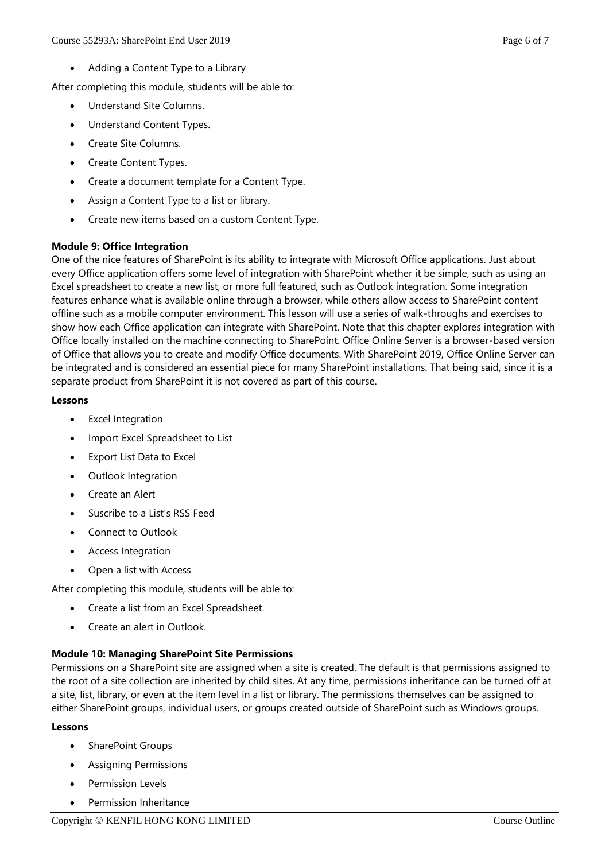Adding a Content Type to a Library

After completing this module, students will be able to:

- Understand Site Columns.
- Understand Content Types.
- Create Site Columns.
- Create Content Types.
- Create a document template for a Content Type.
- Assign a Content Type to a list or library.
- Create new items based on a custom Content Type.

## **Module 9: Office Integration**

One of the nice features of SharePoint is its ability to integrate with Microsoft Office applications. Just about every Office application offers some level of integration with SharePoint whether it be simple, such as using an Excel spreadsheet to create a new list, or more full featured, such as Outlook integration. Some integration features enhance what is available online through a browser, while others allow access to SharePoint content offline such as a mobile computer environment. This lesson will use a series of walk-throughs and exercises to show how each Office application can integrate with SharePoint. Note that this chapter explores integration with Office locally installed on the machine connecting to SharePoint. Office Online Server is a browser-based version of Office that allows you to create and modify Office documents. With SharePoint 2019, Office Online Server can be integrated and is considered an essential piece for many SharePoint installations. That being said, since it is a separate product from SharePoint it is not covered as part of this course.

## **Lessons**

- Excel Integration
- Import Excel Spreadsheet to List
- Export List Data to Excel
- Outlook Integration
- Create an Alert
- Suscribe to a List's RSS Feed
- Connect to Outlook
- Access Integration
- Open a list with Access

After completing this module, students will be able to:

- Create a list from an Excel Spreadsheet.
- Create an alert in Outlook.

# **Module 10: Managing SharePoint Site Permissions**

Permissions on a SharePoint site are assigned when a site is created. The default is that permissions assigned to the root of a site collection are inherited by child sites. At any time, permissions inheritance can be turned off at a site, list, library, or even at the item level in a list or library. The permissions themselves can be assigned to either SharePoint groups, individual users, or groups created outside of SharePoint such as Windows groups.

- SharePoint Groups
- Assigning Permissions
- Permission Levels
- Permission Inheritance